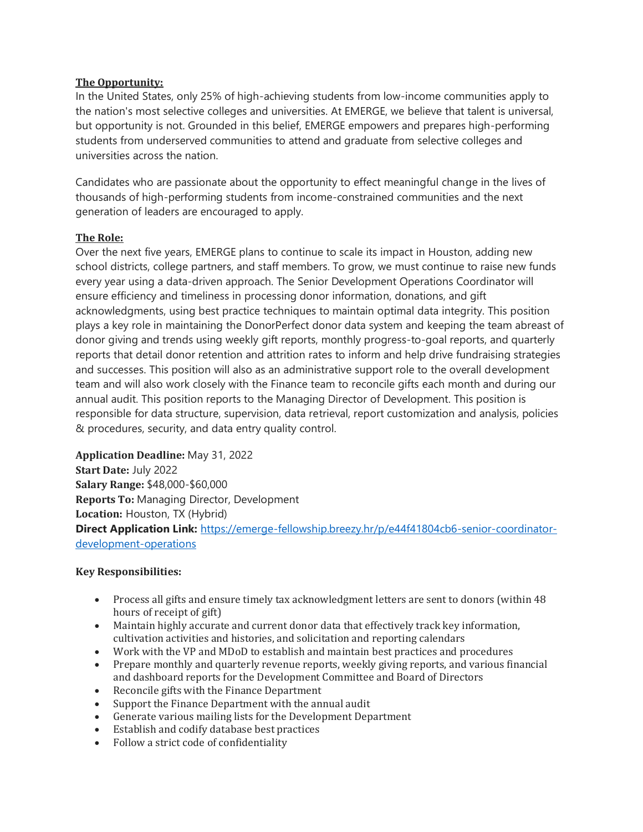### **The Opportunity:**

In the United States, only 25% of high-achieving students from low-income communities apply to the nation's most selective colleges and universities. At EMERGE, we believe that talent is universal, but opportunity is not. Grounded in this belief, EMERGE empowers and prepares high-performing students from underserved communities to attend and graduate from selective colleges and universities across the nation.

Candidates who are passionate about the opportunity to effect meaningful change in the lives of thousands of high-performing students from income-constrained communities and the next generation of leaders are encouraged to apply.

# **The Role:**

Over the next five years, EMERGE plans to continue to scale its impact in Houston, adding new school districts, college partners, and staff members. To grow, we must continue to raise new funds every year using a data-driven approach. The Senior Development Operations Coordinator will ensure efficiency and timeliness in processing donor information, donations, and gift acknowledgments, using best practice techniques to maintain optimal data integrity. This position plays a key role in maintaining the DonorPerfect donor data system and keeping the team abreast of donor giving and trends using weekly gift reports, monthly progress-to-goal reports, and quarterly reports that detail donor retention and attrition rates to inform and help drive fundraising strategies and successes. This position will also as an administrative support role to the overall development team and will also work closely with the Finance team to reconcile gifts each month and during our annual audit. This position reports to the Managing Director of Development. This position is responsible for data structure, supervision, data retrieval, report customization and analysis, policies & procedures, security, and data entry quality control.

**Application Deadline:** May 31, 2022 **Start Date:** July 2022 **Salary Range:** \$48,000-\$60,000 **Reports To:** Managing Director, Development **Location:** Houston, TX (Hybrid) **Direct Application Link:** [https://emerge-fellowship.breezy.hr/p/e44f41804cb6-senior-coordinator](https://emerge-fellowship.breezy.hr/p/e44f41804cb6-senior-coordinator-development-operations)[development-operations](https://emerge-fellowship.breezy.hr/p/e44f41804cb6-senior-coordinator-development-operations)

# **Key Responsibilities:**

- Process all gifts and ensure timely tax acknowledgment letters are sent to donors (within 48 hours of receipt of gift)
- Maintain highly accurate and current donor data that effectively track key information, cultivation activities and histories, and solicitation and reporting calendars
- Work with the VP and MDoD to establish and maintain best practices and procedures
- Prepare monthly and quarterly revenue reports, weekly giving reports, and various financial and dashboard reports for the Development Committee and Board of Directors
- Reconcile gifts with the Finance Department
- Support the Finance Department with the annual audit
- Generate various mailing lists for the Development Department
- Establish and codify database best practices
- Follow a strict code of confidentiality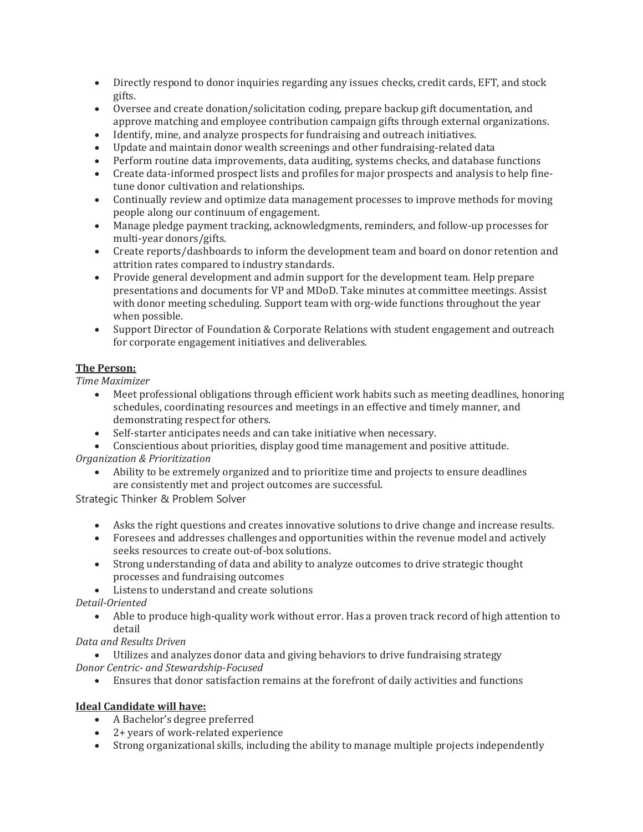- Directly respond to donor inquiries regarding any issues checks, credit cards, EFT, and stock gifts.
- Oversee and create donation/solicitation coding, prepare backup gift documentation, and approve matching and employee contribution campaign gifts through external organizations.
- Identify, mine, and analyze prospects for fundraising and outreach initiatives.
- Update and maintain donor wealth screenings and other fundraising-related data
- Perform routine data improvements, data auditing, systems checks, and database functions
- Create data-informed prospect lists and profiles for major prospects and analysis to help finetune donor cultivation and relationships.
- Continually review and optimize data management processes to improve methods for moving people along our continuum of engagement.
- Manage pledge payment tracking, acknowledgments, reminders, and follow-up processes for multi-year donors/gifts.
- Create reports/dashboards to inform the development team and board on donor retention and attrition rates compared to industry standards.
- Provide general development and admin support for the development team. Help prepare presentations and documents for VP and MDoD. Take minutes at committee meetings. Assist with donor meeting scheduling. Support team with org-wide functions throughout the year when possible.
- Support Director of Foundation & Corporate Relations with student engagement and outreach for corporate engagement initiatives and deliverables.

# **The Person:**

*Time Maximizer*

- Meet professional obligations through efficient work habits such as meeting deadlines, honoring schedules, coordinating resources and meetings in an effective and timely manner, and demonstrating respect for others.
- Self-starter anticipates needs and can take initiative when necessary.
- Conscientious about priorities, display good time management and positive attitude. *Organization & Prioritization*
	- Ability to be extremely organized and to prioritize time and projects to ensure deadlines
		- are consistently met and project outcomes are successful.

Strategic Thinker & Problem Solver

- Asks the right questions and creates innovative solutions to drive change and increase results.
- Foresees and addresses challenges and opportunities within the revenue model and actively seeks resources to create out-of-box solutions.
- Strong understanding of data and ability to analyze outcomes to drive strategic thought processes and fundraising outcomes
- Listens to understand and create solutions

*Detail-Oriented*

• Able to produce high-quality work without error. Has a proven track record of high attention to detail

*Data and Results Driven*

- Utilizes and analyzes donor data and giving behaviors to drive fundraising strategy
- *Donor Centric- and Stewardship-Focused*
	- Ensures that donor satisfaction remains at the forefront of daily activities and functions

# **Ideal Candidate will have:**

- A Bachelor's degree preferred
- 2+ years of work-related experience
- Strong organizational skills, including the ability to manage multiple projects independently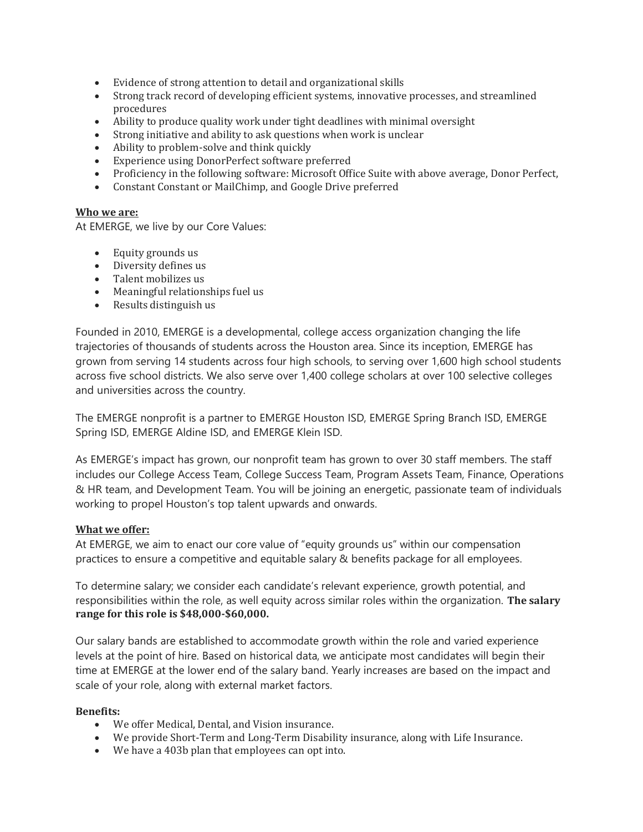- Evidence of strong attention to detail and organizational skills
- Strong track record of developing efficient systems, innovative processes, and streamlined procedures
- Ability to produce quality work under tight deadlines with minimal oversight
- Strong initiative and ability to ask questions when work is unclear
- Ability to problem-solve and think quickly
- Experience using DonorPerfect software preferred
- Proficiency in the following software: Microsoft Office Suite with above average, Donor Perfect,
- Constant Constant or MailChimp, and Google Drive preferred

#### **Who we are:**

At EMERGE, we live by our Core Values:

- Equity grounds us
- Diversity defines us
- Talent mobilizes us
- Meaningful relationships fuel us
- Results distinguish us

Founded in 2010, EMERGE is a developmental, college access organization changing the life trajectories of thousands of students across the Houston area. Since its inception, EMERGE has grown from serving 14 students across four high schools, to serving over 1,600 high school students across five school districts. We also serve over 1,400 college scholars at over 100 selective colleges and universities across the country.

The EMERGE nonprofit is a partner to EMERGE Houston ISD, EMERGE Spring Branch ISD, EMERGE Spring ISD, EMERGE Aldine ISD, and EMERGE Klein ISD.

As EMERGE's impact has grown, our nonprofit team has grown to over 30 staff members. The staff includes our College Access Team, College Success Team, Program Assets Team, Finance, Operations & HR team, and Development Team. You will be joining an energetic, passionate team of individuals working to propel Houston's top talent upwards and onwards.

#### **What we offer:**

At EMERGE, we aim to enact our core value of "equity grounds us" within our compensation practices to ensure a competitive and equitable salary & benefits package for all employees.

To determine salary; we consider each candidate's relevant experience, growth potential, and responsibilities within the role, as well equity across similar roles within the organization. **The salary range for this role is \$48,000-\$60,000.**

Our salary bands are established to accommodate growth within the role and varied experience levels at the point of hire. Based on historical data, we anticipate most candidates will begin their time at EMERGE at the lower end of the salary band. Yearly increases are based on the impact and scale of your role, along with external market factors.

#### **Benefits:**

- We offer Medical, Dental, and Vision insurance.
- We provide Short-Term and Long-Term Disability insurance, along with Life Insurance.
- We have a 403b plan that employees can opt into.